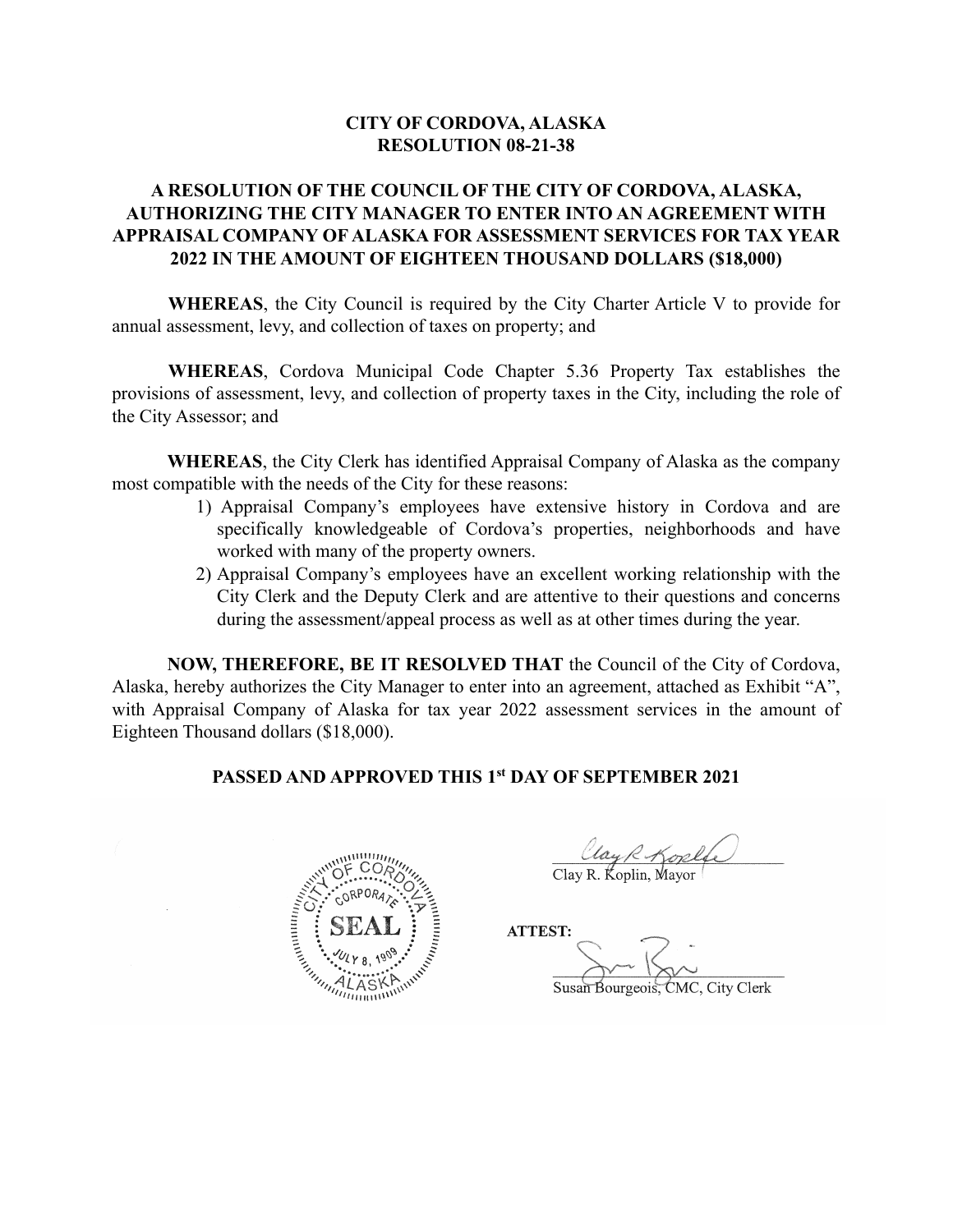### **CITY OF CORDOVA, ALASKA RESOLUTION 08-21-38**

### **A RESOLUTION OF THE COUNCIL OF THE CITY OF CORDOVA, ALASKA, AUTHORIZING THE CITY MANAGER TO ENTER INTO AN AGREEMENT WITH APPRAISAL COMPANY OF ALASKA FOR ASSESSMENT SERVICES FOR TAX YEAR 2022 IN THE AMOUNT OF EIGHTEEN THOUSAND DOLLARS (\$18,000)**

**WHEREAS**, the City Council is required by the City Charter Article V to provide for annual assessment, levy, and collection of taxes on property; and

**WHEREAS**, Cordova Municipal Code Chapter 5.36 Property Tax establishes the provisions of assessment, levy, and collection of property taxes in the City, including the role of the City Assessor; and

**WHEREAS**, the City Clerk has identified Appraisal Company of Alaska as the company most compatible with the needs of the City for these reasons:

- 1) Appraisal Company's employees have extensive history in Cordova and are specifically knowledgeable of Cordova's properties, neighborhoods and have worked with many of the property owners.
- 2) Appraisal Company's employees have an excellent working relationship with the City Clerk and the Deputy Clerk and are attentive to their questions and concerns during the assessment/appeal process as well as at other times during the year.

**NOW, THEREFORE, BE IT RESOLVED THAT** the Council of the City of Cordova, Alaska, hereby authorizes the City Manager to enter into an agreement, attached as Exhibit "A", with Appraisal Company of Alaska for tax year 2022 assessment services in the amount of Eighteen Thousand dollars (\$18,000).

### **PASSED AND APPROVED THIS 1st DAY OF SEPTEMBER 2021**



 $\rho_{\ell_1} \circ \rho_{\ell_2} \circ \rho_{\ell_3}$ Clay R. Koplin, Mayor

**ATTEST:**  $\sum_{i=1}^n |x_i|^2$ 

Susan Bourgeois, CMC, City Clerk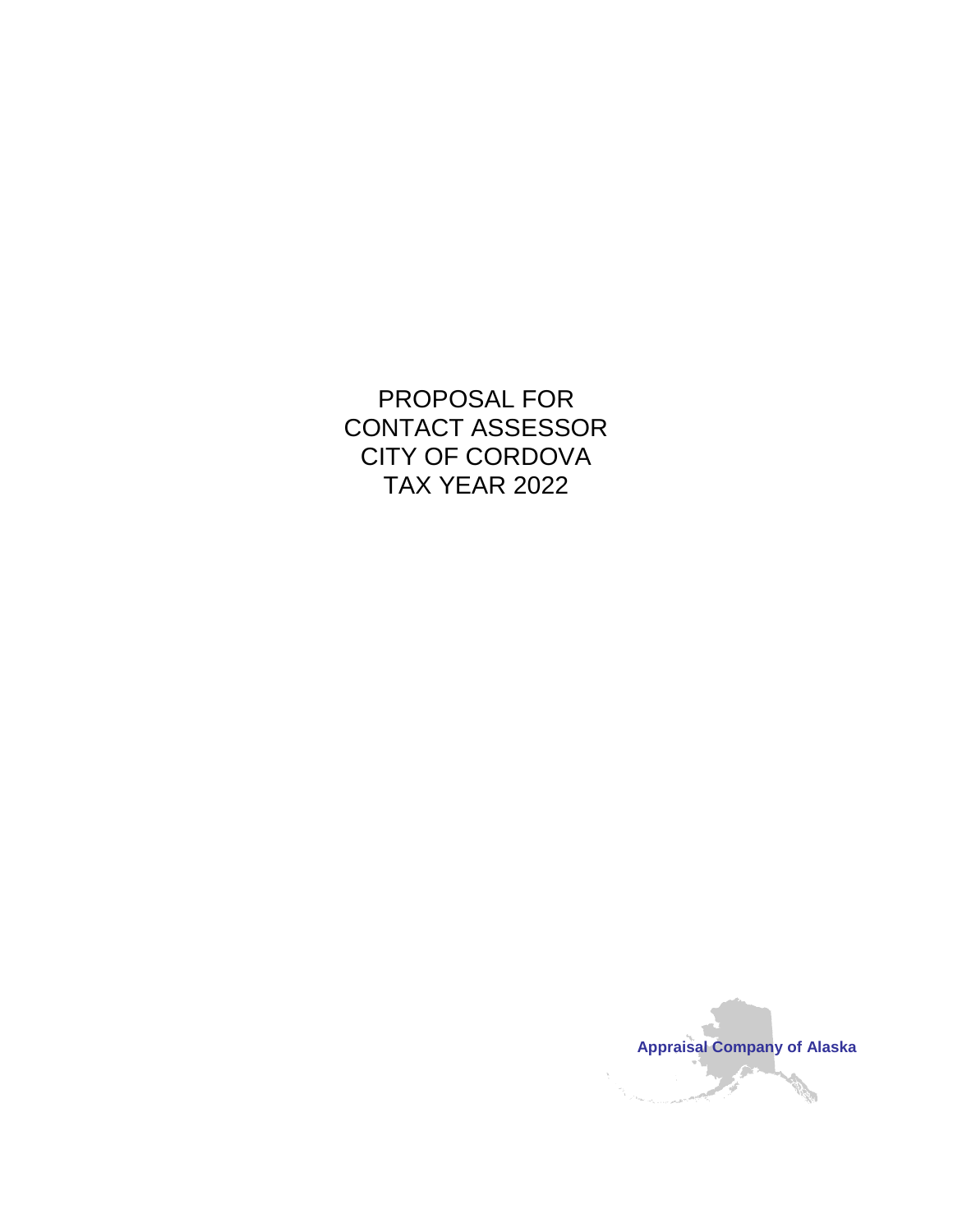# PROPOSAL FOR CONTACT ASSESSOR CITY OF CORDOVA TAX YEAR 2022

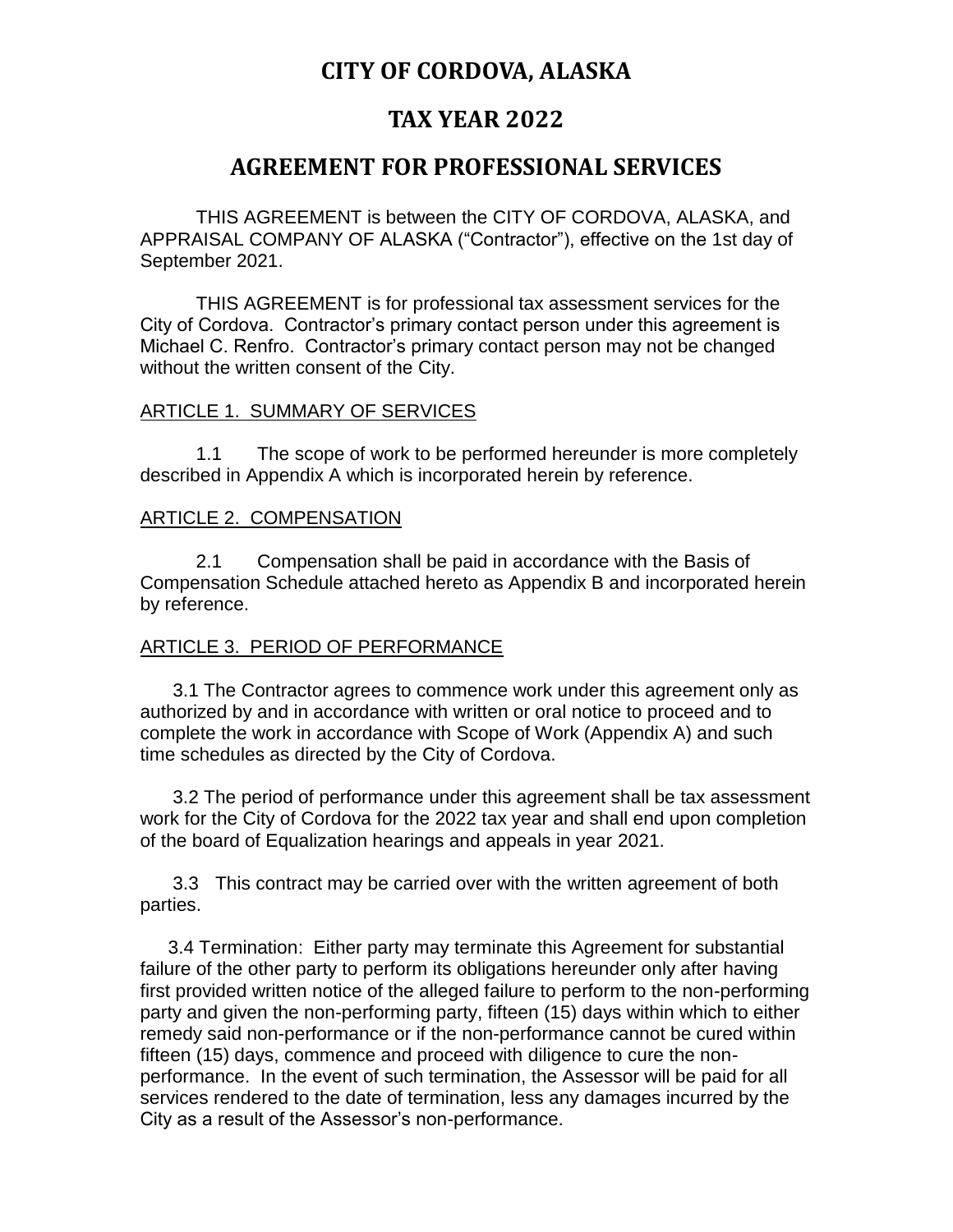## **CITY OF CORDOVA, ALASKA**

## **TAX YEAR 2022**

## **AGREEMENT FOR PROFESSIONAL SERVICES**

THIS AGREEMENT is between the CITY OF CORDOVA, ALASKA, and APPRAISAL COMPANY OF ALASKA ("Contractor"), effective on the 1st day of September 2021.

THIS AGREEMENT is for professional tax assessment services for the City of Cordova. Contractor's primary contact person under this agreement is Michael C. Renfro. Contractor's primary contact person may not be changed without the written consent of the City.

### ARTICLE 1. SUMMARY OF SERVICES

1.1 The scope of work to be performed hereunder is more completely described in Appendix A which is incorporated herein by reference.

### ARTICLE 2. COMPENSATION

2.1 Compensation shall be paid in accordance with the Basis of Compensation Schedule attached hereto as Appendix B and incorporated herein by reference.

### ARTICLE 3. PERIOD OF PERFORMANCE

3.1 The Contractor agrees to commence work under this agreement only as authorized by and in accordance with written or oral notice to proceed and to complete the work in accordance with Scope of Work (Appendix A) and such time schedules as directed by the City of Cordova.

3.2 The period of performance under this agreement shall be tax assessment work for the City of Cordova for the 2022 tax year and shall end upon completion of the board of Equalization hearings and appeals in year 2021.

3.3 This contract may be carried over with the written agreement of both parties.

3.4 Termination: Either party may terminate this Agreement for substantial failure of the other party to perform its obligations hereunder only after having first provided written notice of the alleged failure to perform to the non-performing party and given the non-performing party, fifteen (15) days within which to either remedy said non-performance or if the non-performance cannot be cured within fifteen (15) days, commence and proceed with diligence to cure the nonperformance. In the event of such termination, the Assessor will be paid for all services rendered to the date of termination, less any damages incurred by the City as a result of the Assessor's non-performance.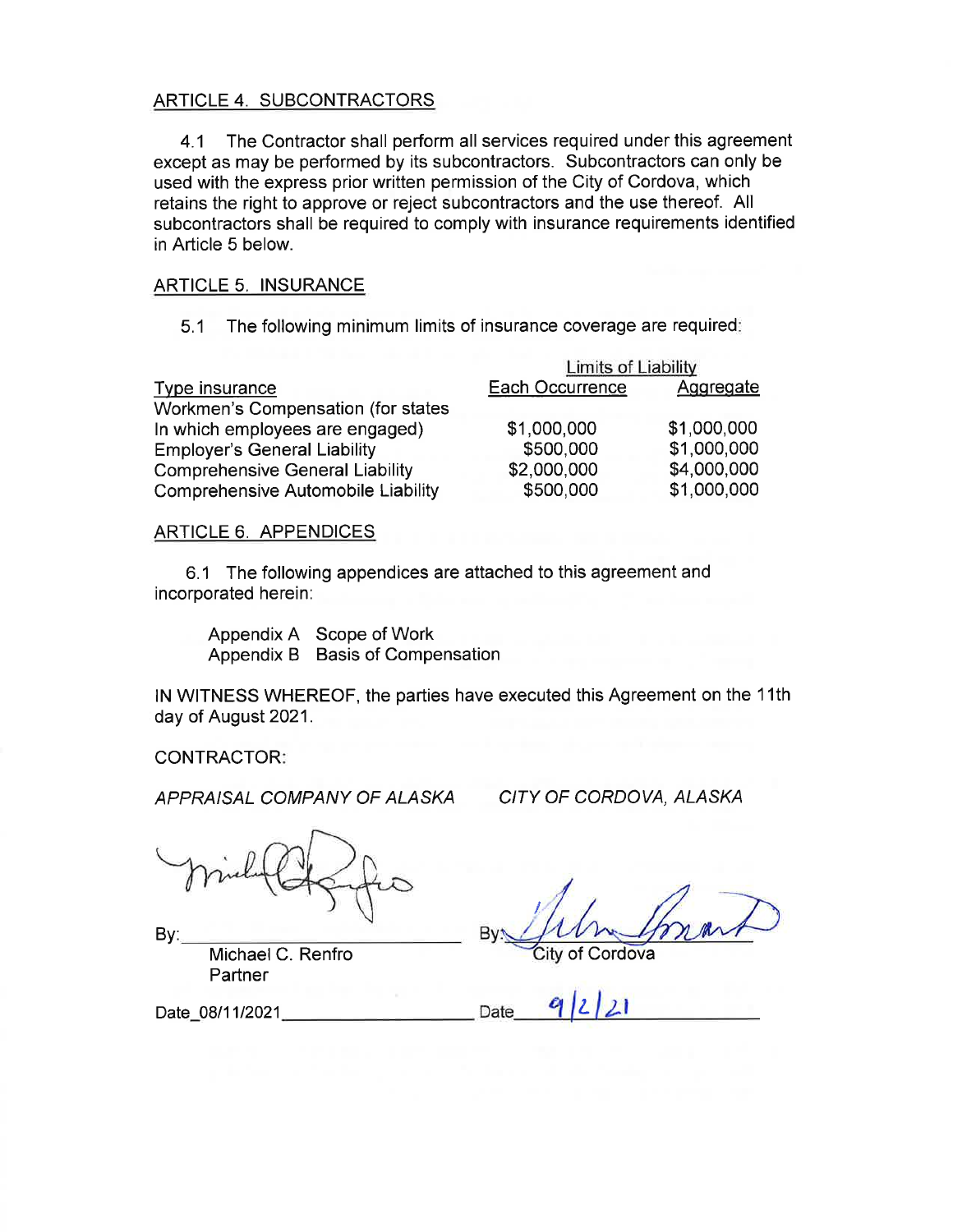#### ARTICLE 4. SUBCONTRACTORS

The Contractor shall perform all services required under this agreement  $4.1$ except as may be performed by its subcontractors. Subcontractors can only be used with the express prior written permission of the City of Cordova, which retains the right to approve or reject subcontractors and the use thereof. All subcontractors shall be required to comply with insurance requirements identified in Article 5 below.

#### **ARTICLE 5. INSURANCE**

The following minimum limits of insurance coverage are required:  $5.1$ 

|                                           | Limits of Liability |             |
|-------------------------------------------|---------------------|-------------|
| Type insurance                            | Each Occurrence     | Aggregate   |
| Workmen's Compensation (for states        |                     |             |
| In which employees are engaged)           | \$1,000,000         | \$1,000,000 |
| <b>Employer's General Liability</b>       | \$500,000           | \$1,000,000 |
| <b>Comprehensive General Liability</b>    | \$2,000,000         | \$4,000,000 |
| <b>Comprehensive Automobile Liability</b> | \$500,000           | \$1,000,000 |

#### **ARTICLE 6. APPENDICES**

6.1 The following appendices are attached to this agreement and incorporated herein:

Appendix A Scope of Work Appendix B Basis of Compensation

IN WITNESS WHEREOF, the parties have executed this Agreement on the 11th day of August 2021.

**CONTRACTOR:** 

Date 08/11/2021

APPRAISAL COMPANY OF ALASKA

CITY OF CORDOVA, ALASKA

By:

Michael C. Renfro Partner

Cordova

Date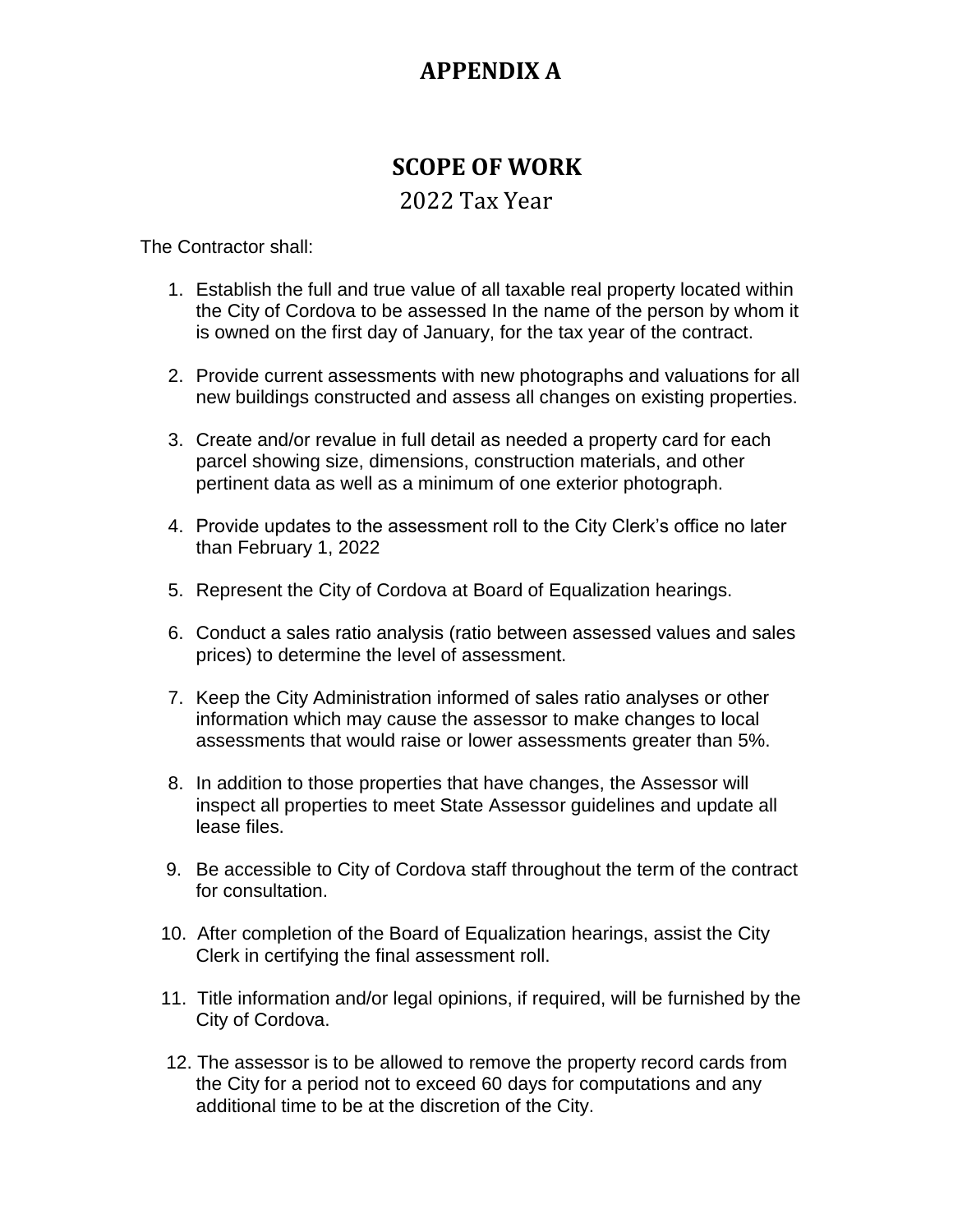# **APPENDIX A**

# **SCOPE OF WORK**

### 2022 Tax Year

The Contractor shall:

- 1. Establish the full and true value of all taxable real property located within the City of Cordova to be assessed In the name of the person by whom it is owned on the first day of January, for the tax year of the contract.
- 2. Provide current assessments with new photographs and valuations for all new buildings constructed and assess all changes on existing properties.
- 3. Create and/or revalue in full detail as needed a property card for each parcel showing size, dimensions, construction materials, and other pertinent data as well as a minimum of one exterior photograph.
- 4. Provide updates to the assessment roll to the City Clerk's office no later than February 1, 2022
- 5. Represent the City of Cordova at Board of Equalization hearings.
- 6. Conduct a sales ratio analysis (ratio between assessed values and sales prices) to determine the level of assessment.
- 7. Keep the City Administration informed of sales ratio analyses or other information which may cause the assessor to make changes to local assessments that would raise or lower assessments greater than 5%.
- 8. In addition to those properties that have changes, the Assessor will inspect all properties to meet State Assessor guidelines and update all lease files.
- 9. Be accessible to City of Cordova staff throughout the term of the contract for consultation.
- 10. After completion of the Board of Equalization hearings, assist the City Clerk in certifying the final assessment roll.
- 11. Title information and/or legal opinions, if required, will be furnished by the City of Cordova.
- 12. The assessor is to be allowed to remove the property record cards from the City for a period not to exceed 60 days for computations and any additional time to be at the discretion of the City.